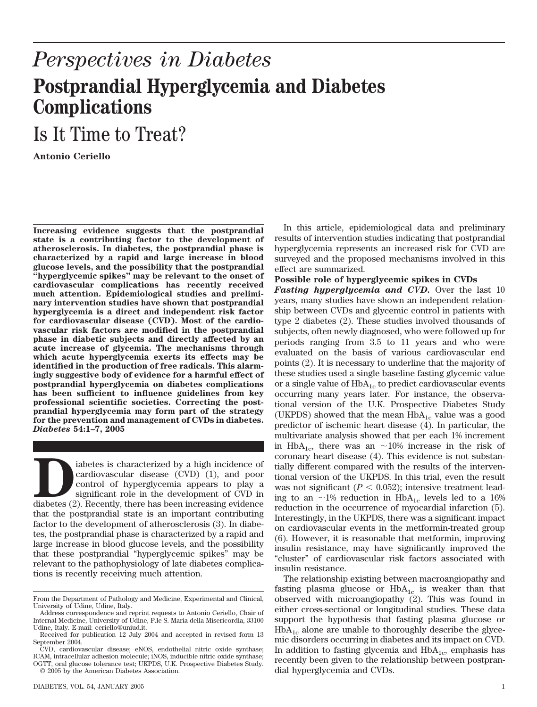## *Perspectives in Diabetes* **Postprandial Hyperglycemia and Diabetes Complications**

## Is It Time to Treat?

**Antonio Ceriello**

**Increasing evidence suggests that the postprandial state is a contributing factor to the development of atherosclerosis. In diabetes, the postprandial phase is characterized by a rapid and large increase in blood glucose levels, and the possibility that the postprandial "hyperglycemic spikes" may be relevant to the onset of cardiovascular complications has recently received much attention. Epidemiological studies and preliminary intervention studies have shown that postprandial hyperglycemia is a direct and independent risk factor for cardiovascular disease (CVD). Most of the cardiovascular risk factors are modified in the postprandial phase in diabetic subjects and directly affected by an acute increase of glycemia. The mechanisms through which acute hyperglycemia exerts its effects may be identified in the production of free radicals. This alarmingly suggestive body of evidence for a harmful effect of postprandial hyperglycemia on diabetes complications has been sufficient to influence guidelines from key professional scientific societies. Correcting the postprandial hyperglycemia may form part of the strategy for the prevention and management of CVDs in diabetes.** *Diabetes* **54:1–7, 2005**

iabetes is characterized by a high incidence of cardiovascular disease (CVD) (1), and poor control of hyperglycemia appears to play a significant role in the development of CVD in diabetes (2). Recently, there has been inc cardiovascular disease (CVD) (1), and poor control of hyperglycemia appears to play a significant role in the development of CVD in diabetes (2). Recently, there has been increasing evidence that the postprandial state is an important contributing factor to the development of atherosclerosis (3). In diabetes, the postprandial phase is characterized by a rapid and large increase in blood glucose levels, and the possibility that these postprandial "hyperglycemic spikes" may be relevant to the pathophysiology of late diabetes complications is recently receiving much attention.

In this article, epidemiological data and preliminary results of intervention studies indicating that postprandial hyperglycemia represents an increased risk for CVD are surveyed and the proposed mechanisms involved in this effect are summarized.

## **Possible role of hyperglycemic spikes in CVDs**

*Fasting hyperglycemia and CVD.* Over the last 10 years, many studies have shown an independent relationship between CVDs and glycemic control in patients with type 2 diabetes (2). These studies involved thousands of subjects, often newly diagnosed, who were followed up for periods ranging from 3.5 to 11 years and who were evaluated on the basis of various cardiovascular end points (2). It is necessary to underline that the majority of these studies used a single baseline fasting glycemic value or a single value of  $HbA_{1c}$  to predict cardiovascular events occurring many years later. For instance, the observational version of the U.K. Prospective Diabetes Study (UKPDS) showed that the mean  $HbA_{1c}$  value was a good predictor of ischemic heart disease (4). In particular, the multivariate analysis showed that per each 1% increment in HbA<sub>1c</sub>, there was an  $\sim$ 10% increase in the risk of coronary heart disease (4). This evidence is not substantially different compared with the results of the interventional version of the UKPDS. In this trial, even the result was not significant  $(P < 0.052)$ ; intensive treatment leading to an  $\sim$ 1% reduction in HbA<sub>1c</sub> levels led to a 16% reduction in the occurrence of myocardial infarction (5). Interestingly, in the UKPDS, there was a significant impact on cardiovascular events in the metformin-treated group (6). However, it is reasonable that metformin, improving insulin resistance, may have significantly improved the "cluster" of cardiovascular risk factors associated with insulin resistance.

The relationship existing between macroangiopathy and fasting plasma glucose or  $HbA_{1c}$  is weaker than that observed with microangiopathy (2). This was found in either cross-sectional or longitudinal studies. These data support the hypothesis that fasting plasma glucose or  $HbA_{1c}$  alone are unable to thoroughly describe the glycemic disorders occurring in diabetes and its impact on CVD. In addition to fasting glycemia and  $HbA_{1c}$ , emphasis has recently been given to the relationship between postprandial hyperglycemia and CVDs.

From the Department of Pathology and Medicine, Experimental and Clinical, University of Udine, Udine, Italy.

Address correspondence and reprint requests to Antonio Ceriello, Chair of Internal Medicine, University of Udine, P.le S. Maria della Misericordia, 33100 Udine, Italy. E-mail: ceriello@uniud.it.

Received for publication 12 July 2004 and accepted in revised form 13 September 2004.

CVD, cardiovascular disease; eNOS, endothelial nitric oxide synthase; ICAM, intracellular adhesion molecule; iNOS, inducible nitric oxide synthase; OGTT, oral glucose tolerance test; UKPDS, U.K. Prospective Diabetes Study. © 2005 by the American Diabetes Association.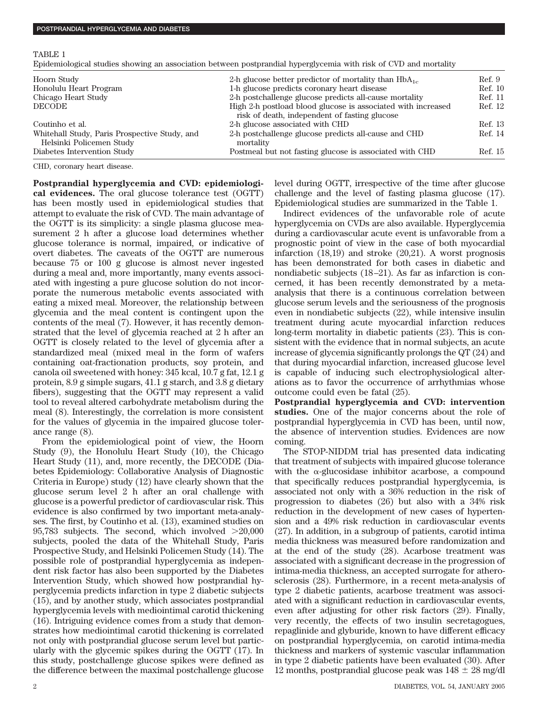|--|--|

| Epidemiological studies showing an association between postprandial hyperglycemia with risk of CVD and mortality |  |  |
|------------------------------------------------------------------------------------------------------------------|--|--|
|------------------------------------------------------------------------------------------------------------------|--|--|

| Hoorn Study                                                               | 2-h glucose better predictor of mortality than $HbA_{1c}$                                                     | Ref. 9  |
|---------------------------------------------------------------------------|---------------------------------------------------------------------------------------------------------------|---------|
| Honolulu Heart Program                                                    | 1-h glucose predicts coronary heart disease                                                                   | Ref. 10 |
| Chicago Heart Study                                                       | 2-h postchallenge glucose predicts all-cause mortality                                                        | Ref. 11 |
| <b>DECODE</b>                                                             | High 2-h postload blood glucose is associated with increased<br>risk of death, independent of fasting glucose | Ref. 12 |
| Coutinho et al.                                                           | 2-h glucose associated with CHD                                                                               | Ref. 13 |
| Whitehall Study, Paris Prospective Study, and<br>Helsinki Policemen Study | 2-h postchallenge glucose predicts all-cause and CHD<br>mortality                                             | Ref. 14 |
| Diabetes Intervention Study                                               | Postmeal but not fasting glucose is associated with CHD                                                       | Ref. 15 |

CHD, coronary heart disease.

**Postprandial hyperglycemia and CVD: epidemiological evidences.** The oral glucose tolerance test (OGTT) has been mostly used in epidemiological studies that attempt to evaluate the risk of CVD. The main advantage of the OGTT is its simplicity: a single plasma glucose measurement 2 h after a glucose load determines whether glucose tolerance is normal, impaired, or indicative of overt diabetes. The caveats of the OGTT are numerous because 75 or 100 g glucose is almost never ingested during a meal and, more importantly, many events associated with ingesting a pure glucose solution do not incorporate the numerous metabolic events associated with eating a mixed meal. Moreover, the relationship between glycemia and the meal content is contingent upon the contents of the meal (7). However, it has recently demonstrated that the level of glycemia reached at 2 h after an OGTT is closely related to the level of glycemia after a standardized meal (mixed meal in the form of wafers containing oat-fractionation products, soy protein, and canola oil sweetened with honey: 345 kcal, 10.7 g fat, 12.1 g protein, 8.9 g simple sugars, 41.1 g starch, and 3.8 g dietary fibers), suggesting that the OGTT may represent a valid tool to reveal altered carbohydrate metabolism during the meal (8). Interestingly, the correlation is more consistent for the values of glycemia in the impaired glucose tolerance range (8).

From the epidemiological point of view, the Hoorn Study (9), the Honolulu Heart Study (10), the Chicago Heart Study (11), and, more recently, the DECODE (Diabetes Epidemiology: Collaborative Analysis of Diagnostic Criteria in Europe) study (12) have clearly shown that the glucose serum level 2 h after an oral challenge with glucose is a powerful predictor of cardiovascular risk. This evidence is also confirmed by two important meta-analyses. The first, by Coutinho et al. (13), examined studies on 95,783 subjects. The second, which involved  $>20,000$ subjects, pooled the data of the Whitehall Study, Paris Prospective Study, and Helsinki Policemen Study (14). The possible role of postprandial hyperglycemia as independent risk factor has also been supported by the Diabetes Intervention Study, which showed how postprandial hyperglycemia predicts infarction in type 2 diabetic subjects (15), and by another study, which associates postprandial hyperglycemia levels with mediointimal carotid thickening (16). Intriguing evidence comes from a study that demonstrates how mediointimal carotid thickening is correlated not only with postprandial glucose serum level but particularly with the glycemic spikes during the OGTT (17). In this study, postchallenge glucose spikes were defined as the difference between the maximal postchallenge glucose

level during OGTT, irrespective of the time after glucose challenge and the level of fasting plasma glucose (17). Epidemiological studies are summarized in the Table 1.

Indirect evidences of the unfavorable role of acute hyperglycemia on CVDs are also available. Hyperglycemia during a cardiovascular acute event is unfavorable from a prognostic point of view in the case of both myocardial infarction (18,19) and stroke (20,21). A worst prognosis has been demonstrated for both cases in diabetic and nondiabetic subjects (18–21). As far as infarction is concerned, it has been recently demonstrated by a metaanalysis that there is a continuous correlation between glucose serum levels and the seriousness of the prognosis even in nondiabetic subjects (22), while intensive insulin treatment during acute myocardial infarction reduces long-term mortality in diabetic patients (23). This is consistent with the evidence that in normal subjects, an acute increase of glycemia significantly prolongs the QT (24) and that during myocardial infarction, increased glucose level is capable of inducing such electrophysiological alterations as to favor the occurrence of arrhythmias whose outcome could even be fatal (25).

**Postprandial hyperglycemia and CVD: intervention studies.** One of the major concerns about the role of postprandial hyperglycemia in CVD has been, until now, the absence of intervention studies. Evidences are now coming.

The STOP-NIDDM trial has presented data indicating that treatment of subjects with impaired glucose tolerance with the  $\alpha$ -glucosidase inhibitor acarbose, a compound that specifically reduces postprandial hyperglycemia, is associated not only with a 36% reduction in the risk of progression to diabetes (26) but also with a 34% risk reduction in the development of new cases of hypertension and a 49% risk reduction in cardiovascular events (27). In addition, in a subgroup of patients, carotid intima media thickness was measured before randomization and at the end of the study (28). Acarbose treatment was associated with a significant decrease in the progression of intima-media thickness, an accepted surrogate for atherosclerosis (28). Furthermore, in a recent meta-analysis of type 2 diabetic patients, acarbose treatment was associated with a significant reduction in cardiovascular events, even after adjusting for other risk factors (29). Finally, very recently, the effects of two insulin secretagogues, repaglinide and glyburide, known to have different efficacy on postprandial hyperglycemia, on carotid intima-media thickness and markers of systemic vascular inflammation in type 2 diabetic patients have been evaluated (30). After 12 months, postprandial glucose peak was  $148 \pm 28$  mg/dl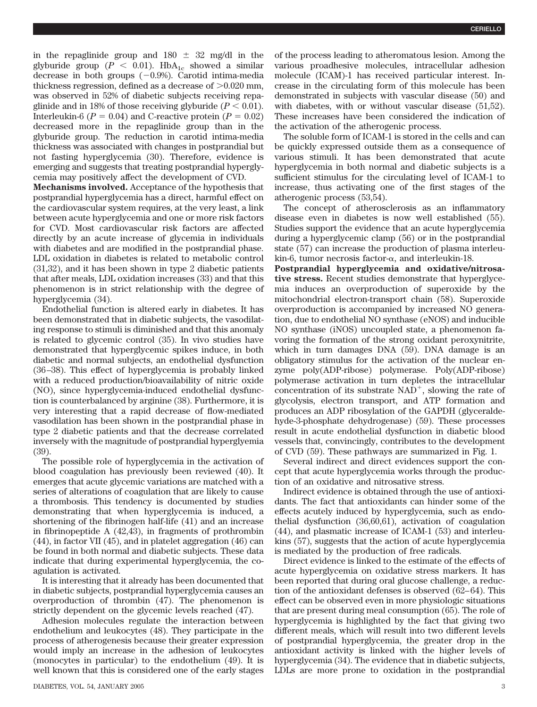in the repaglinide group and  $180 \pm 32$  mg/dl in the glyburide group ( $P < 0.01$ ). HbA<sub>1c</sub> showed a similar decrease in both groups  $(-0.9%)$ . Carotid intima-media thickness regression, defined as a decrease of  $>0.020$  mm, was observed in 52% of diabetic subjects receiving repaglinide and in 18% of those receiving glyburide  $(P < 0.01)$ . Interleukin-6 ( $P = 0.04$ ) and C-reactive protein ( $P = 0.02$ ) decreased more in the repaglinide group than in the glyburide group. The reduction in carotid intima-media thickness was associated with changes in postprandial but not fasting hyperglycemia (30). Therefore, evidence is emerging and suggests that treating postprandial hyperglycemia may positively affect the development of CVD.

**Mechanisms involved.** Acceptance of the hypothesis that postprandial hyperglycemia has a direct, harmful effect on the cardiovascular system requires, at the very least, a link between acute hyperglycemia and one or more risk factors for CVD. Most cardiovascular risk factors are affected directly by an acute increase of glycemia in individuals with diabetes and are modified in the postprandial phase. LDL oxidation in diabetes is related to metabolic control (31,32), and it has been shown in type 2 diabetic patients that after meals, LDL oxidation increases (33) and that this phenomenon is in strict relationship with the degree of hyperglycemia (34).

Endothelial function is altered early in diabetes. It has been demonstrated that in diabetic subjects, the vasodilating response to stimuli is diminished and that this anomaly is related to glycemic control (35). In vivo studies have demonstrated that hyperglycemic spikes induce, in both diabetic and normal subjects, an endothelial dysfunction (36 –38). This effect of hyperglycemia is probably linked with a reduced production/bioavailability of nitric oxide (NO), since hyperglycemia-induced endothelial dysfunction is counterbalanced by arginine (38). Furthermore, it is very interesting that a rapid decrease of flow-mediated vasodilation has been shown in the postprandial phase in type 2 diabetic patients and that the decrease correlated inversely with the magnitude of postprandial hyperglyemia (39).

The possible role of hyperglycemia in the activation of blood coagulation has previously been reviewed (40). It emerges that acute glycemic variations are matched with a series of alterations of coagulation that are likely to cause a thrombosis. This tendency is documented by studies demonstrating that when hyperglycemia is induced, a shortening of the fibrinogen half-life (41) and an increase in fibrinopeptide A (42,43), in fragments of prothrombin (44), in factor VII (45), and in platelet aggregation (46) can be found in both normal and diabetic subjects. These data indicate that during experimental hyperglycemia, the coagulation is activated.

It is interesting that it already has been documented that in diabetic subjects, postprandial hyperglycemia causes an overproduction of thrombin (47). The phenomenon is strictly dependent on the glycemic levels reached (47).

Adhesion molecules regulate the interaction between endothelium and leukocytes (48). They participate in the process of atherogenesis because their greater expression would imply an increase in the adhesion of leukocytes (monocytes in particular) to the endothelium (49). It is well known that this is considered one of the early stages of the process leading to atheromatous lesion. Among the various proadhesive molecules, intracellular adhesion molecule (ICAM)-1 has received particular interest. Increase in the circulating form of this molecule has been demonstrated in subjects with vascular disease (50) and with diabetes, with or without vascular disease (51,52). These increases have been considered the indication of the activation of the atherogenic process.

The soluble form of ICAM-1 is stored in the cells and can be quickly expressed outside them as a consequence of various stimuli. It has been demonstrated that acute hyperglycemia in both normal and diabetic subjects is a sufficient stimulus for the circulating level of ICAM-1 to increase, thus activating one of the first stages of the atherogenic process (53,54).

The concept of atherosclerosis as an inflammatory disease even in diabetes is now well established (55). Studies support the evidence that an acute hyperglycemia during a hyperglycemic clamp (56) or in the postprandial state (57) can increase the production of plasma interleukin-6, tumor necrosis factor- $\alpha$ , and interleukin-18.

**Postprandial hyperglycemia and oxidative/nitrosative stress.** Recent studies demonstrate that hyperglycemia induces an overproduction of superoxide by the mitochondrial electron-transport chain (58). Superoxide overproduction is accompanied by increased NO generation, due to endothelial NO synthase (eNOS) and inducible NO synthase (iNOS) uncoupled state, a phenomenon favoring the formation of the strong oxidant peroxynitrite, which in turn damages DNA (59). DNA damage is an obligatory stimulus for the activation of the nuclear enzyme poly(ADP-ribose) polymerase. Poly(ADP-ribose) polymerase activation in turn depletes the intracellular concentration of its substrate  $NAD^+$ , slowing the rate of glycolysis, electron transport, and ATP formation and produces an ADP ribosylation of the GAPDH (glyceraldehyde-3-phosphate dehydrogenase) (59). These processes result in acute endothelial dysfunction in diabetic blood vessels that, convincingly, contributes to the development of CVD (59). These pathways are summarized in Fig. 1.

Several indirect and direct evidences support the concept that acute hyperglycemia works through the production of an oxidative and nitrosative stress.

Indirect evidence is obtained through the use of antioxidants. The fact that antioxidants can hinder some of the effects acutely induced by hyperglycemia, such as endothelial dysfunction (36,60,61), activation of coagulation (44), and plasmatic increase of ICAM-1 (53) and interleukins (57), suggests that the action of acute hyperglycemia is mediated by the production of free radicals.

Direct evidence is linked to the estimate of the effects of acute hyperglycemia on oxidative stress markers. It has been reported that during oral glucose challenge, a reduction of the antioxidant defenses is observed (62– 64). This effect can be observed even in more physiologic situations that are present during meal consumption (65). The role of hyperglycemia is highlighted by the fact that giving two different meals, which will result into two different levels of postprandial hyperglycemia, the greater drop in the antioxidant activity is linked with the higher levels of hyperglycemia (34). The evidence that in diabetic subjects, LDLs are more prone to oxidation in the postprandial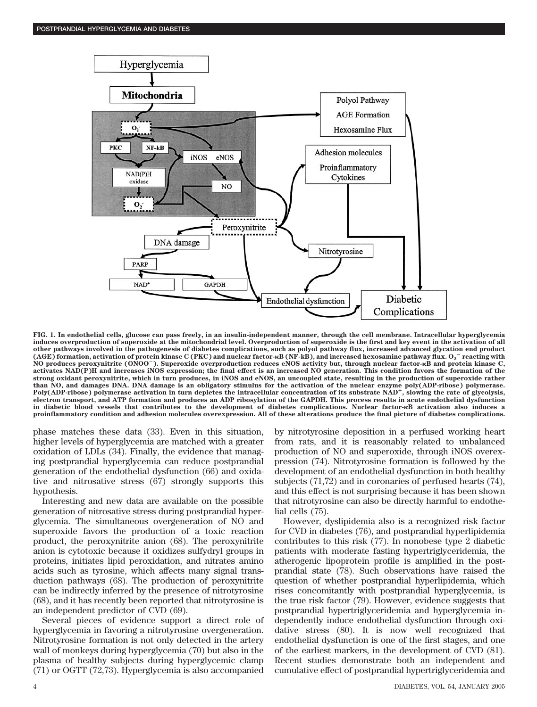

**FIG. 1. In endothelial cells, glucose can pass freely, in an insulin-independent manner, through the cell membrane. Intracellular hyperglycemia induces overproduction of superoxide at the mitochondrial level. Overproduction of superoxide is the first and key event in the activation of all other pathways involved in the pathogenesis of diabetes complications, such as polyol pathway flux, increased advanced glycation end product (AGE) formation, activation of protein kinase C (PKC) and nuclear factor-B (NF-kB), and increased hexosamine pathway flux. O2** - **reacting with NO produces peroxynitrite (ONOO**-**). Superoxide overproduction reduces eNOS activity but, through nuclear factor-B and protein kinase C, activates NAD(P)H and increases iNOS expression; the final effect is an increased NO generation. This condition favors the formation of the strong oxidant peroxynitrite, which in turn produces, in iNOS and eNOS, an uncoupled state, resulting in the production of superoxide rather than NO, and damages DNA. DNA damage is an obligatory stimulus for the activation of the nuclear enzyme poly(ADP-ribose) polymerase. Poly(ADP-ribose) polymerase activation in turn depletes the intracellular concentration of its substrate NAD, slowing the rate of glycolysis, electron transport, and ATP formation and produces an ADP ribosylation of the GAPDH. This process results in acute endothelial dysfunction in diabetic blood vessels that contributes to the development of diabetes complications. Nuclear factor-B activation also induces a proinflammatory condition and adhesion molecules overexpression. All of these alterations produce the final picture of diabetes complications.**

phase matches these data (33). Even in this situation, higher levels of hyperglycemia are matched with a greater oxidation of LDLs (34). Finally, the evidence that managing postprandial hyperglycemia can reduce postprandial generation of the endothelial dysfunction (66) and oxidative and nitrosative stress (67) strongly supports this hypothesis.

Interesting and new data are available on the possible generation of nitrosative stress during postprandial hyperglycemia. The simultaneous overgeneration of NO and superoxide favors the production of a toxic reaction product, the peroxynitrite anion (68). The peroxynitrite anion is cytotoxic because it oxidizes sulfydryl groups in proteins, initiates lipid peroxidation, and nitrates amino acids such as tyrosine, which affects many signal transduction pathways (68). The production of peroxynitrite can be indirectly inferred by the presence of nitrotyrosine (68), and it has recently been reported that nitrotyrosine is an independent predictor of CVD (69).

Several pieces of evidence support a direct role of hyperglycemia in favoring a nitrotyrosine overgeneration. Nitrotyrosine formation is not only detected in the artery wall of monkeys during hyperglycemia (70) but also in the plasma of healthy subjects during hyperglycemic clamp (71) or OGTT (72,73). Hyperglycemia is also accompanied

by nitrotyrosine deposition in a perfused working heart from rats, and it is reasonably related to unbalanced production of NO and superoxide, through iNOS overexpression (74). Nitrotyrosine formation is followed by the development of an endothelial dysfunction in both healthy subjects (71,72) and in coronaries of perfused hearts (74), and this effect is not surprising because it has been shown that nitrotyrosine can also be directly harmful to endothelial cells (75).

However, dyslipidemia also is a recognized risk factor for CVD in diabetes (76), and postprandial hyperlipidemia contributes to this risk (77). In nonobese type 2 diabetic patients with moderate fasting hypertriglyceridemia, the atherogenic lipoprotein profile is amplified in the postprandial state (78). Such observations have raised the question of whether postprandial hyperlipidemia, which rises concomitantly with postprandial hyperglycemia, is the true risk factor (79). However, evidence suggests that postprandial hypertriglyceridemia and hyperglycemia independently induce endothelial dysfunction through oxidative stress (80). It is now well recognized that endothelial dysfunction is one of the first stages, and one of the earliest markers, in the development of CVD (81). Recent studies demonstrate both an independent and cumulative effect of postprandial hypertriglyceridemia and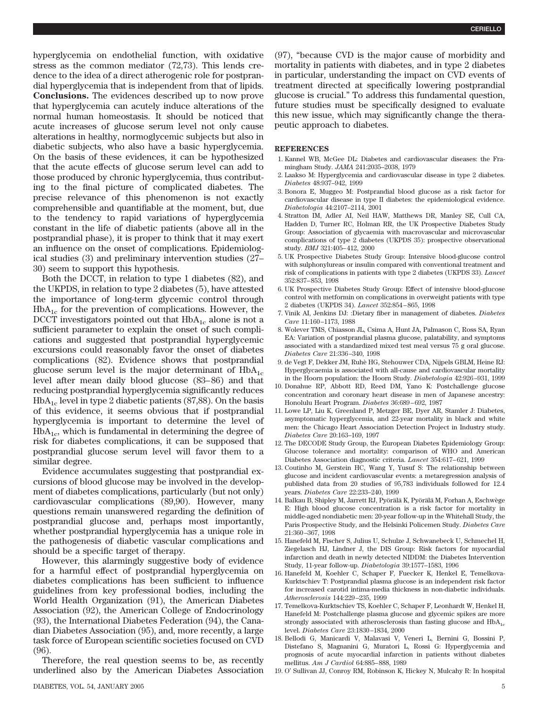hyperglycemia on endothelial function, with oxidative stress as the common mediator (72,73). This lends credence to the idea of a direct atherogenic role for postprandial hyperglycemia that is independent from that of lipids. **Conclusions.** The evidences described up to now prove that hyperglycemia can acutely induce alterations of the normal human homeostasis. It should be noticed that acute increases of glucose serum level not only cause alterations in healthy, normoglycemic subjects but also in diabetic subjects, who also have a basic hyperglycemia. On the basis of these evidences, it can be hypothesized that the acute effects of glucose serum level can add to those produced by chronic hyperglycemia, thus contributing to the final picture of complicated diabetes. The precise relevance of this phenomenon is not exactly comprehensible and quantifiable at the moment, but, due to the tendency to rapid variations of hyperglycemia constant in the life of diabetic patients (above all in the postprandial phase), it is proper to think that it may exert an influence on the onset of complications. Epidemiological studies (3) and preliminary intervention studies (27– 30) seem to support this hypothesis.

Both the DCCT, in relation to type 1 diabetes (82), and the UKPDS, in relation to type 2 diabetes (5), have attested the importance of long-term glycemic control through  $HbA_{1c}$  for the prevention of complications. However, the DCCT investigators pointed out that  $HbA_{1c}$  alone is not a sufficient parameter to explain the onset of such complications and suggested that postprandial hyperglycemic excursions could reasonably favor the onset of diabetes complications (82). Evidence shows that postprandial glucose serum level is the major determinant of  $HbA_{1c}$ level after mean daily blood glucose (83– 86) and that reducing postprandial hyperglycemia significantly reduces  $HbA<sub>1c</sub>$  level in type 2 diabetic patients (87,88). On the basis of this evidence, it seems obvious that if postprandial hyperglycemia is important to determine the level of  $HbA_{1c}$ , which is fundamental in determining the degree of risk for diabetes complications, it can be supposed that postprandial glucose serum level will favor them to a similar degree.

Evidence accumulates suggesting that postprandial excursions of blood glucose may be involved in the development of diabetes complications, particularly (but not only) cardiovascular complications (89,90). However, many questions remain unanswered regarding the definition of postprandial glucose and, perhaps most importantly, whether postprandial hyperglycemia has a unique role in the pathogenesis of diabetic vascular complications and should be a specific target of therapy.

However, this alarmingly suggestive body of evidence for a harmful effect of postprandial hyperglycemia on diabetes complications has been sufficient to influence guidelines from key professional bodies, including the World Health Organization (91), the American Diabetes Association (92), the American College of Endocrinology (93), the International Diabetes Federation (94), the Canadian Diabetes Association (95), and, more recently, a large task force of European scientific societies focused on CVD (96).

Therefore, the real question seems to be, as recently underlined also by the American Diabetes Association (97), "because CVD is the major cause of morbidity and mortality in patients with diabetes, and in type 2 diabetes in particular, understanding the impact on CVD events of treatment directed at specifically lowering postprandial glucose is crucial." To address this fundamental question, future studies must be specifically designed to evaluate this new issue, which may significantly change the therapeutic approach to diabetes.

## **REFERENCES**

- 1. Kannel WB, McGee DL: Diabetes and cardiovascular diseases: the Framingham Study. *JAMA* 241:2035–2038, 1979
- 2. Laakso M: Hyperglycemia and cardiovascular disease in type 2 diabetes. *Diabetes* 48:937–942, 1999
- 3. Bonora E, Muggeo M: Postprandial blood glucose as a risk factor for cardiovascular disease in type II diabetes: the epidemiological evidence. *Diabetologia* 44:2107–2114, 2001
- 4. Stratton IM, Adler AI, Neil HAW, Matthews DR, Manley SE, Cull CA, Hadden D, Turner RC, Holman RR, the UK Prospective Diabetes Study Group: Association of glycaemia with macrovascular and microvascular complications of type 2 diabetes (UKPDS 35): prospective observational study. *BMJ* 321:405– 412, 2000
- 5. UK Prospective Diabetes Study Group: Intensive blood-glucose control with sulphonylureas or insulin compared with conventional treatment and risk of complications in patients with type 2 diabetes (UKPDS 33). *Lancet* 352:837– 853, 1998
- 6. UK Prospective Diabetes Study Group: Effect of intensive blood-glucose control with metformin on complications in overweight patients with type 2 diabetes (UKPDS 34). *Lancet* 352:854 – 865, 1998
- 7. Vinik AI, Jenkins DJ: :Dietary fiber in management of diabetes. *Diabetes Care* 11:160 –1173, 1988
- 8. Wolever TMS, Chiasson JL, Csima A, Hunt JA, Palmason C, Ross SA, Ryan EA: Variation of postprandial plasma glucose, palatability, and symptoms associated with a standardized mixed test meal versus 75 g oral glucose. *Diabetes Care* 21:336 –340, 1998
- 9. de Vegt F, Dekker JM, Ruhe` HG, Stehouwer CDA, Nijpels GBLM, Heine RJ: Hyperglycaemia is associated with all-cause and cardiovascular mortality in the Hoorn population: the Hoorn Study. *Diabetologia* 42:926 –931, 1999
- 10. Donahue RP, Abbott RD, Reed DM, Yano K: Postchallenge glucose concentration and coronary heart disease in men of Japanese ancestry: Honolulu Heart Program. *Diabetes* 36:689 – 692, 1987
- 11. Lowe LP, Liu K, Greenland P, Metzger BE, Dyer AR, Stamler J: Diabetes, asymptomatic hyperglycemia, and 22-year mortality in black and white men: the Chicago Heart Association Detection Project in Industry study. *Diabetes Care* 20:163–169, 1997
- 12. The DECODE Study Group, the European Diabetes Epidemiology Group: Glucose tolerance and mortality: comparison of WHO and American Diabetes Association diagnostic criteria. *Lancet* 354:617– 621, 1999
- 13. Coutinho M, Gerstein HC, Wang Y, Yusuf S: The relationship between glucose and incident cardiovascular events: a metaregression analysis of published data from 20 studies of 95,783 individuals followed for 12.4 years. *Diabetes Care* 22:233–240, 1999
- 14. Balkau B, Shipley M, Jarrett RJ, Pyörälä K, Pyörälä M, Forhan A, Eschwège E: High blood glucose concentration is a risk factor for mortality in middle-aged nondiabetic men: 20-year follow-up in the Whitehall Study, the Paris Prospective Study, and the Helsinki Policemen Study. *Diabetes Care* 21:360 –367, 1998
- 15. Hanefeld M, Fischer S, Julius U, Schulze J, Schwanebeck U, Schmechel H, Ziegelasch HJ, Lindner J, the DIS Group: Risk factors for myocardial infarction and death in newly detected NIDDM: the Diabetes Intervention Study, 11-year follow-up. *Diabetologia* 39:1577–1583, 1996
- 16. Hanefeld M, Koehler C, Schaper F, Fuecker K, Henkel E, Temelkova-Kurktschiev T: Postprandial plasma glucose is an independent risk factor for increased carotid intima-media thickness in non-diabetic individuals. *Atherosclerosis* 144:229 –235, 1999
- 17. Temelkova-Kurktschiev TS, Koehler C, Schaper F, Leonhardt W, Henkel H, Hanefeld M: Postchallenge plasma glucose and glycemic spikes are more strongly associated with atherosclerosis than fasting glucose and  $HbA<sub>1c</sub>$ level. *Diabetes Care* 23:1830 –1834, 2000
- 18. Bellodi G, Manicardi V, Malavasi V, Veneri L, Bernini G, Bossini P, Distefano S, Magnanini G, Muratori L, Rossi G: Hyperglycemia and prognosis of acute myocardial infarction in patients without diabetes mellitus. *Am J Cardiol* 64:885– 888, 1989
- 19. O' Sullivan JJ, Conroy RM, Robinson K, Hickey N, Mulcahy R: In hospital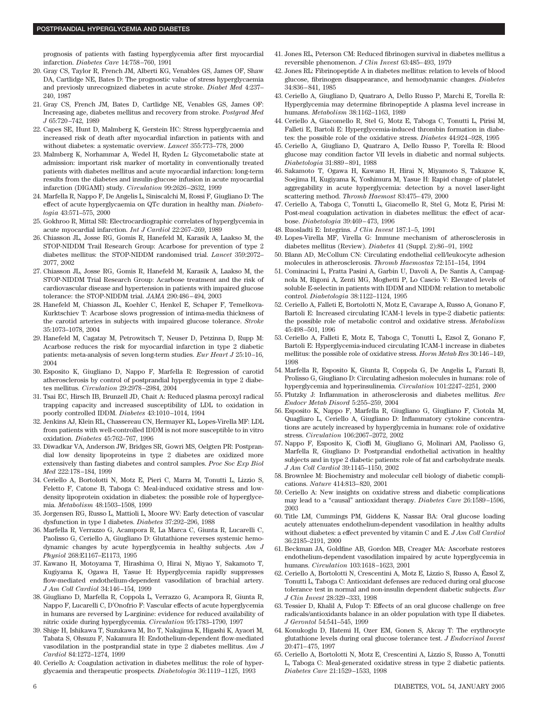prognosis of patients with fasting hyperglycemia after first myocardial infarction. *Diabetes Care* 14:758 –760, 1991

- 20. Gray CS, Taylor R, French JM, Alberti KG, Venables GS, James OF, Shaw DA, Cartlidge NE, Bates D: The prognostic value of stress hyperglycaemia and previosly unrecognized diabetes in acute stroke. *Diabet Med* 4:237– 240, 1987
- 21. Gray CS, French JM, Bates D, Cartlidge NE, Venables GS, James OF: Increasing age, diabetes mellitus and recovery from stroke. *Postgrad Med J* 65:720 –742, 1989
- 22. Capes SE, Hunt D, Malmberg K, Gerstein HC: Stress hyperglycaemia and increased risk of death after myocardial infarction in patients with and without diabetes: a systematic overview. *Lancet* 355:773–778, 2000
- 23. Malmberg K, Norhammar A, Wedel H, Ryden L: Glycometabolic state at admission: important risk marker of mortality in conventionally treated patients with diabetes mellitus and acute myocardial infarction: long-term results from the diabetes and insulin-glucose infusion in acute myocardial infarction (DIGAMI) study. *Circulation* 99:2626 –2632, 1999
- 24. Marfella R, Nappo F, De Angelis L, Siniscalchi M, Rossi F, Giugliano D: The effect of acute hyperglycaemia on QTc duration in healthy man. *Diabetologia* 43:571–575, 2000
- 25. Gokhroo R, Mittal SR: Electrocardiographic correlates of hyperglycemia in acute myocardial infarction. *Int J Cardiol* 22:267–269, 1989
- 26. Chiasson JL, Josse RG, Gomis R, Hanefeld M, Karasik A, Laakso M, the STOP-NIDDM Trail Research Group: Acarbose for prevention of type 2 diabetes mellitus: the STOP-NIDDM randomised trial. *Lancet* 359:2072– 2077, 2002
- 27. Chiasson JL, Josse RG, Gomis R, Hanefeld M, Karasik A, Laakso M, the STOP-NIDDM Trial Research Group: Acarbose treatment and the risk of cardiovascular disease and hypertension in patients with impaired glucose tolerance: the STOP-NIDDM trial. *JAMA* 290:486 – 494, 2003
- 28. Hanefeld M, Chiasson JL, Koehler C, Henkel E, Schaper F, Temelkova-Kurktschiev T: Acarbose slows progression of intima-media thickness of the carotid arteries in subjects with impaired glucose tolerance. *Stroke* 35:1073–1078, 2004
- 29. Hanefeld M, Cagatay M, Petrowitsch T, Neuser D, Petzinna D, Rupp M: Acarbose reduces the risk for myocardial infarction in type 2 diabetic patients: meta-analysis of seven long-term studies. *Eur Heart J* 25:10 –16, 2004
- 30. Esposito K, Giugliano D, Nappo F, Marfella R: Regression of carotid atherosclerosis by control of postprandial hyperglycemia in type 2 diabetes mellitus. *Circulation* 29:2978 –2984, 2004
- 31. Tsai EC, Hirsch IB, Brunzell JD, Chait A: Reduced plasma peroxyl radical trapping capacity and increased susceptibility of LDL to oxidation in poorly controlled IDDM. *Diabetes* 43:1010 –1014, 1994
- 32. Jenkins AJ, Klein RL, Chassereau CN, Hermayer KL, Lopes-Virella MF: LDL from patients with well-controlled IDDM is not more susceptible to in vitro oxidation. *Diabetes* 45:762–767, 1996
- 33. Diwadkar VA, Anderson JW, Bridges SR, Gowri MS, Oelgten PR: Postprandial low density lipoproteins in type 2 diabetes are oxidized more extensively than fasting diabetes and control samples. *Proc Soc Exp Biol Med* 222:178 –184, 1999
- 34. Ceriello A, Bortolotti N, Motz E, Pieri C, Marra M, Tonutti L, Lizzio S, Feletto F, Catone B, Taboga C: Meal-induced oxidative stress and lowdensity lipoprotein oxidation in diabetes: the possible role of hyperglycemia. *Metabolism* 48:1503–1508, 1999
- 35. Jorgensen RG, Russo L, Mattioli L, Moore WV: Early detection of vascular dysfunction in type I diabetes. *Diabetes* 37:292–296, 1988
- 36. Marfella R, Verrazzo G, Acampora R, La Marca C, Giunta R, Lucarelli C, Paolisso G, Ceriello A, Giugliano D: Glutathione reverses systemic hemodynamic changes by acute hyperglycemia in healthy subjects. *Am J Physiol* 268:E1167–E1173, 1995
- 37. Kawano H, Motoyama T, Hirashima O, Hirai N, Miyao Y, Sakamoto T, Kugiyama K, Ogawa H, Yasue H: Hyperglycemia rapidly suppresses flow-mediated endothelium-dependent vasodilation of brachial artery. *J Am Coll Cardiol* 34:146 –154, 1999
- 38. Giugliano D, Marfella R, Coppola L, Verrazzo G, Acampora R, Giunta R, Nappo F, Lucarelli C, D'Onofrio F: Vascular effects of acute hyperglycemia in humans are reversed by L-arginine: evidence for reduced availability of nitric oxide during hyperglycemia. *Circulation* 95:1783–1790, 1997
- 39. Shige H, Ishikawa T, Suzukawa M, Ito T, Nakajima K, Higashi K, Ayaori M, Tabata S, Ohsuzu F, Nakamura H: Endothelium-dependent flow-mediated vasodilation in the postprandial state in type 2 diabetes mellitus. *Am J Cardiol* 84:1272–1274, 1999
- 40. Ceriello A: Coagulation activation in diabetes mellitus: the role of hyperglycaemia and therapeutic prospects. *Diabetologia* 36:1119 –1125, 1993
- 41. Jones RL, Peterson CM: Reduced fibrinogen survival in diabetes mellitus a reversible phenomenon. *J Clin Invest* 63:485– 493, 1979
- 42. Jones RL: Fibrinopeptide A in diabetes mellitus: relation to levels of blood glucose, fibrinogen disappearance, and hemodynamic changes. *Diabetes* 34:836 – 841, 1985
- 43. Ceriello A, Giugliano D, Quatraro A, Dello Russo P, Marchi E, Torella R: Hyperglycemia may determine fibrinopeptide A plasma level increase in humans. *Metabolism* 38:1162–1163, 1989
- 44. Ceriello A, Giacomello R, Stel G, Motz E, Taboga C, Tonutti L, Pirisi M, Falleti E, Bartoli E: Hyperglycemia-induced thrombin formation in diabetes: the possible role of the oxidative stress. *Diabetes* 44:924 –928, 1995
- 45. Ceriello A, Giugliano D, Quatraro A, Dello Russo P, Torella R: Blood glucose may condition factor VII levels in diabetic and normal subjects. *Diabetologia* 31:889 – 891, 1988
- 46. Sakamoto T, Ogawa H, Kawano H, Hirai N, Miyamoto S, Takazoe K, Soejima H, Kugiyama K, Yoshimura M, Yasue H: Rapid change of platelet aggregability in acute hyperglycemia: detection by a novel laser-light scattering method. *Thromb Haemost* 83:475– 479, 2000
- 47. Ceriello A, Taboga C, Tonutti L, Giacomello R, Stel G, Motz E, Pirisi M: Post-meal coagulation activation in diabetes mellitus: the effect of acarbose. *Diabetologia* 39:469 – 473, 1996
- 48. Ruosladti E: Integrins. *J Clin Invest* 187:1–5, 1991
- 49. Lopes-Virella MF, Virella G: Immune mechanism of atherosclerosis in diabetes mellitus (Review). *Diabetes* 41 (Suppl. 2):86 –91, 1992
- 50. Blann AD, McCollum CN: Circulating endothelial cell/leukocyte adhesion molecules in atherosclerosis. *Thromb Haemostas* 72:151–154, 1994
- 51. Cominacini L, Fratta Pasini A, Garbin U, Davoli A, De Santis A, Campagnola M, Rigoni A, Zenti MG, Moghetti P, Lo Cascio V: Elevated levels of soluble E-selectin in patients with IDDM and NIDDM: relation to metabolic control. *Diabetologia* 38:1122–1124, 1995
- 52. Ceriello A, Falleti E, Bortolotti N, Motz E, Cavarape A, Russo A, Gonano F, Bartoli E: Increased circulating ICAM-1 levels in type-2 diabetic patients: the possible role of metabolic control and oxidative stress. *Metabolism* 45:498 –501, 1996
- 53. Ceriello A, Falleti E, Motz E, Taboga C, Tonutti L, Ezsol Z, Gonano F, Bartoli E: Hyperglycemia-induced circulating ICAM-1 increase in diabetes mellitus: the possible role of oxidative stress. *Horm Metab Res* 30:146 –149, 1998
- 54. Marfella R, Esposito K, Giunta R, Coppola G, De Angelis L, Farzati B, Prolisso G, Giugliano D: Circulating adhesion molecules in humans: role of hyperglycemia and hyperinsulinemia. *Circulation* 101:2247–2251, 2000
- 55. Plutzky J: Inflammation in atherosclerosis and diabetes mellitus. *Rev Endocr Metab Disord* 5:255–259, 2004
- 56. Esposito K, Nappo F, Marfella R, Giugliano G, Giugliano F, Ciotola M, Quagliaro L, Ceriello A, Giugliano D: Inflammatory cytokine concentrations are acutely increased by hyperglycemia in humans: role of oxidative stress. *Circulation* 106:2067–2072, 2002
- 57. Nappo F, Esposito K, Cioffi M, Giugliano G, Molinari AM, Paolisso G, Marfella R, Giugliano D: Postprandial endothelial activation in healthy subjects and in type 2 diabetic patients: role of fat and carbohydrate meals. *J Am Coll Cardiol* 39:1145–1150, 2002
- 58. Brownlee M: Biochemistry and molecular cell biology of diabetic complications. *Nature* 414:813– 820, 2001
- 59. Ceriello A: New insights on oxidative stress and diabetic complications may lead to a "causal" antioxidant therapy. *Diabetes Care* 26:1589 –1596, 2003
- 60. Title LM, Cummings PM, Giddens K, Nassar BA: Oral glucose loading acutely attenuates endothelium-dependent vasodilation in healthy adults without diabetes: a effect prevented by vitamin C and E. *J Am Coll Cardiol* 36:2185–2191, 2000
- 61. Beckman JA, Goldfine AB, Gordon MB, Creager MA: Ascorbate restores endothelium-dependent vasodilation impaired by acute hyperglycemia in humans. *Circulation* 103:1618 –1623, 2001
- 62. Ceriello A, Bortolotti N, Crescentini A, Motz E, Lizzio S, Russo A, Ézsol Z, Tonutti L, Taboga C: Antioxidant defenses are reduced during oral glucose tolerance test in normal and non-insulin dependent diabetic subjects. *Eur J Clin Invest* 28:329 –333, 1998
- 63. Tessier D, Khalil A, Fulop T: Effects of an oral glucose challenge on free radicals/antioxidants balance in an older population with type II diabetes. *J Gerontol* 54:541–545, 1999
- 64. Konukoglu D, Hatemi H, Ozer EM, Gonen S, Akcay T: The erythrocyte glutathione levels during oral glucose tolerance test. *J Endocrinol Invest* 20:471– 475, 1997
- 65. Ceriello A, Bortolotti N, Motz E, Crescentini A, Lizzio S, Russo A, Tonutti L, Taboga C: Meal-generated oxidative stress in type 2 diabetic patients. *Diabetes Care* 21:1529 –1533, 1998